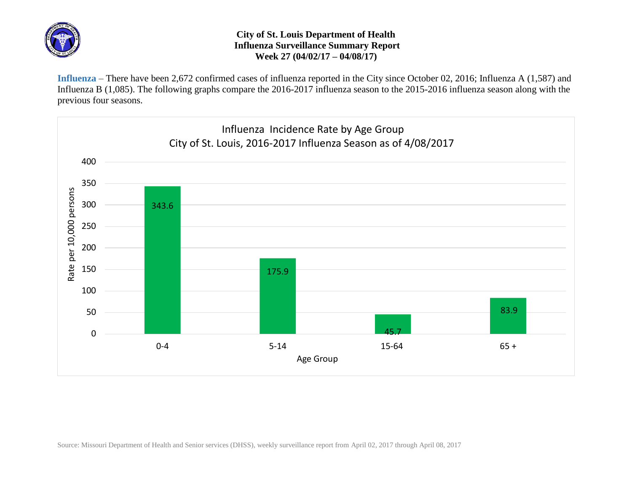

## **City of St. Louis Department of Health Influenza Surveillance Summary Report Week 27 (04/02/17 – 04/08/17)**

**Influenza** – There have been 2,672 confirmed cases of influenza reported in the City since October 02, 2016; Influenza A (1,587) and Influenza B (1,085). The following graphs compare the 2016-2017 influenza season to the 2015-2016 influenza season along with the previous four seasons.